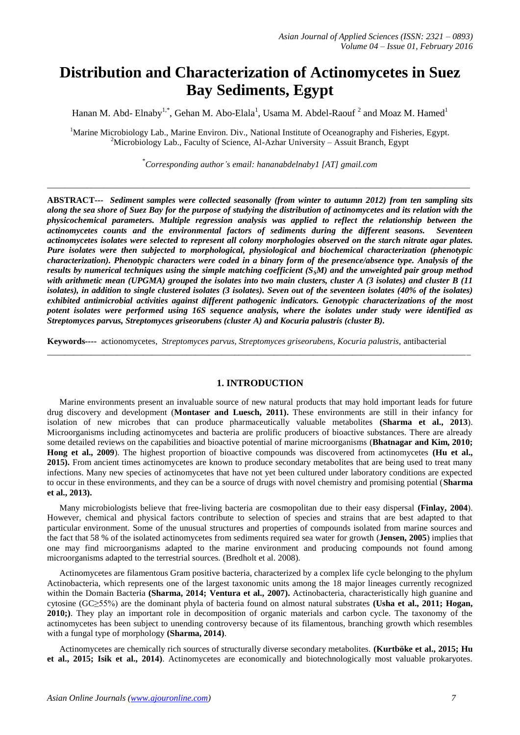# **Distribution and Characterization of Actinomycetes in Suez Bay Sediments, Egypt**

Hanan M. Abd- Elnaby<sup>1,\*</sup>, Gehan M. Abo-Elala<sup>1</sup>, Usama M. Abdel-Raouf<sup>2</sup> and Moaz M. Hamed<sup>1</sup>

<sup>1</sup>Marine Microbiology Lab., Marine Environ. Div., National Institute of Oceanography and Fisheries, Egypt. <sup>2</sup>Microbiology Lab., Faculty of Science, Al-Azhar University – Assuit Branch, Egypt

\* *Corresponding author's email: hananabdelnaby1 [AT] gmail.com*

*\_\_\_\_\_\_\_\_\_\_\_\_\_\_\_\_\_\_\_\_\_\_\_\_\_\_\_\_\_\_\_\_\_\_\_\_\_\_\_\_\_\_\_\_\_\_\_\_\_\_\_\_\_\_\_\_\_\_\_\_\_\_\_\_\_\_\_\_\_\_\_\_\_\_\_\_\_\_\_\_\_\_\_\_\_\_\_\_\_\_\_\_\_\_\_\_\_*

**ABSTRACT***--- Sediment samples were collected seasonally (from winter to autumn 2012) from ten sampling sits along the sea shore of Suez Bay for the purpose of studying the distribution of actinomycetes and its relation with the physicochemical parameters. Multiple regression analysis was applied to reflect the relationship between the actinomycetes counts and the environmental factors of sediments during the different seasons. Seventeen actinomycetes isolates were selected to represent all colony morphologies observed on the starch nitrate agar plates. Pure isolates were then subjected to morphological, physiological and biochemical characterization (phenotypic characterization). Phenotypic characters were coded in a binary form of the presence/absence type. Analysis of the results by numerical techniques using the simple matching coefficient (SSM) and the unweighted pair group method with arithmetic mean (UPGMA) grouped the isolates into two main clusters, cluster A (3 isolates) and cluster B (11 isolates), in addition to single clustered isolates (3 isolates). Seven out of the seventeen isolates (40% of the isolates) exhibited antimicrobial activities against different pathogenic indicators. Genotypic characterizations of the most potent isolates were performed using 16S sequence analysis, where the isolates under study were identified as Streptomyces parvus, Streptomyces griseorubens (cluster A) and Kocuria palustris (cluster B).*

**Keywords***----* actionomycetes, *Streptomyces parvus, Streptomyces griseorubens, Kocuria palustris,* antibacterial

# **1. INTRODUCTION**

\_\_\_\_\_\_\_\_\_\_\_\_\_\_\_\_\_\_\_\_\_\_\_\_\_\_\_\_\_\_\_\_\_\_\_\_\_\_\_\_\_\_\_\_\_\_\_\_\_\_\_\_\_\_\_\_\_\_\_\_\_\_\_\_\_\_\_\_\_\_\_\_\_\_\_\_\_\_\_\_\_\_\_\_\_\_\_\_\_\_\_\_\_\_\_\_\_

Marine environments present an invaluable source of new natural products that may hold important leads for future drug discovery and development (**Montaser and Luesch, 2011).** These environments are still in their infancy for isolation of new microbes that can produce pharmaceutically valuable metabolites **(Sharma et al., 2013**). Microorganisms including actinomycetes and bacteria are prolific producers of bioactive substances. There are already some detailed reviews on the capabilities and bioactive potential of marine microorganisms (**Bhatnagar and Kim, 2010;**  Hong et al., 2009). The highest proportion of bioactive compounds was discovered from actinomycetes (Hu et al., **2015).** From ancient times actinomycetes are known to produce secondary metabolites that are being used to treat many infections. Many new species of actinomycetes that have not yet been cultured under laboratory conditions are expected to occur in these environments, and they can be a source of drugs with novel chemistry and promising potential (**Sharma et al., 2013).**

Many microbiologists believe that free-living bacteria are cosmopolitan due to their easy dispersal **(Finlay, 2004**). However, chemical and physical factors contribute to selection of species and strains that are best adapted to that particular environment. Some of the unusual structures and properties of compounds isolated from marine sources and the fact that 58 % of the isolated actinomycetes from sediments required sea water for growth (**Jensen, 2005**) implies that one may find microorganisms adapted to the marine environment and producing compounds not found among microorganisms adapted to the terrestrial sources. (Bredholt et al. 2008).

Actinomycetes are filamentous Gram positive bacteria, characterized by a complex life cycle belonging to the phylum Actinobacteria, which represents one of the largest taxonomic units among the 18 major lineages currently recognized within the Domain Bacteria **(Sharma, 2014; Ventura et al., 2007).** Actinobacteria, characteristically high guanine and cytosine (GC≥55%) are the dominant phyla of bacteria found on almost natural substrates **(Usha et al., 2011; Hogan, 2010;)**. They play an important role in decomposition of organic materials and carbon cycle. The taxonomy of the actinomycetes has been subject to unending controversy because of its filamentous, branching growth which resembles with a fungal type of morphology **(Sharma, 2014)**.

Actinomycetes are chemically rich sources of structurally diverse secondary metabolites. **(Kurtböke et al., 2015; Hu et al., 2015; Isik et al., 2014)**. Actinomycetes are economically and biotechnologically most valuable prokaryotes.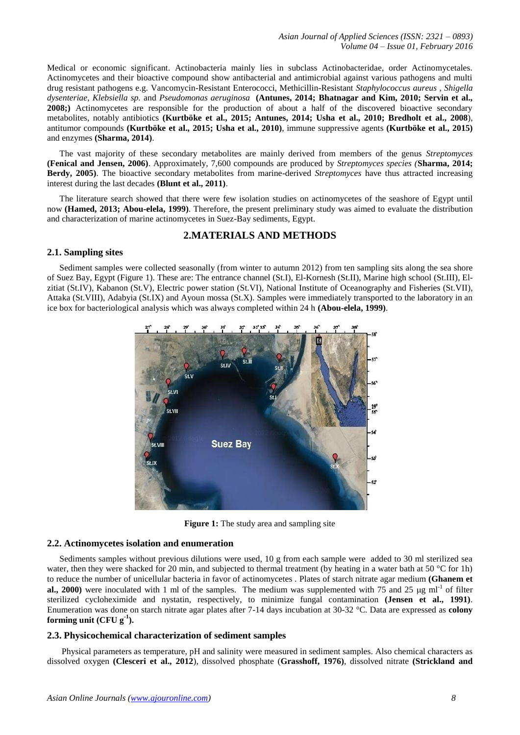Medical or economic significant. Actinobacteria mainly lies in subclass Actinobacteridae, order Actinomycetales. Actinomycetes and their bioactive compound show antibacterial and antimicrobial against various pathogens and multi drug resistant pathogens e.g. Vancomycin-Resistant Enterococci, Methicillin-Resistant *Staphylococcus aureus* , *Shigella dysenteriae*, *Klebsiella sp.* and *Pseudomonas aeruginosa* **(Antunes, 2014; Bhatnagar and Kim, 2010; Servin et al., 2008;)** Actinomycetes are responsible for the production of about a half of the discovered bioactive secondary metabolites, notably antibiotics **(Kurtböke et al., 2015; Antunes, 2014; Usha et al., 2010; Bredholt et al., 2008**), antitumor compounds **(Kurtböke et al., 2015; Usha et al., 2010)**, immune suppressive agents **(Kurtböke et al., 2015)** and enzymes **(Sharma, 2014)**.

The vast majority of these secondary metabolites are mainly derived from members of the genus *Streptomyces*  **(Fenical and Jensen, 2006)**. Approximately, 7,600 compounds are produced by *Streptomyces species (***Sharma, 2014; Berdy, 2005)**. The bioactive secondary metabolites from marine-derived *Streptomyces* have thus attracted increasing interest during the last decades **(Blunt et al., 2011)**.

The literature search showed that there were few isolation studies on actinomycetes of the seashore of Egypt until now **(Hamed, 2013; Abou-elela, 1999)**. Therefore, the present preliminary study was aimed to evaluate the distribution and characterization of marine actinomycetes in Suez-Bay sediments, Egypt.

# **2.MATERIALS AND METHODS**

## **2.1. Sampling sites**

Sediment samples were collected seasonally (from winter to autumn 2012) from ten sampling sits along the sea shore of Suez Bay, Egypt (Figure 1). These are: The entrance channel (St.I), El-Kornesh (St.II), Marine high school (St.III), Elzitiat (St.IV), Kabanon (St.V), Electric power station (St.VI), National Institute of Oceanography and Fisheries (St.VII), Attaka (St.VIII), Adabyia (St.IX) and Ayoun mossa (St.X). Samples were immediately transported to the laboratory in an ice box for bacteriological analysis which was always completed within 24 h **(Abou-elela, 1999)**.



**Figure 1:** The study area and sampling site

#### **2.2. Actinomycetes isolation and enumeration**

Sediments samples without previous dilutions were used, 10 g from each sample were added to 30 ml sterilized sea water, then they were shacked for 20 min, and subjected to thermal treatment (by heating in a water bath at 50 °C for 1h) to reduce the number of unicellular bacteria in favor of actinomycetes . Plates of starch nitrate agar medium **(Ghanem et**  al., 2000) were inoculated with 1 ml of the samples. The medium was supplemented with 75 and 25  $\mu$ g ml<sup>-1</sup> of filter sterilized cycloheximide and nystatin, respectively, to minimize fungal contamination **(Jensen et al., 1991)**. Enumeration was done on starch nitrate agar plates after 7-14 days incubation at 30-32 °C. Data are expressed as **colony forming unit (CFU g-1 ).**

#### **2.3. Physicochemical characterization of sediment samples**

Physical parameters as temperature, pH and salinity were measured in sediment samples. Also chemical characters as dissolved oxygen **(Clesceri et al., 2012**), dissolved phosphate (**Grasshoff, 1976)**, dissolved nitrate **(Strickland and**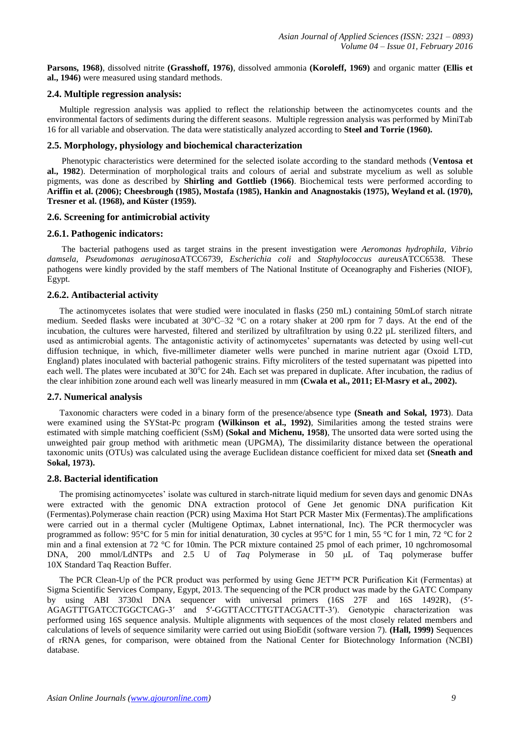**Parsons, 1968)**, dissolved nitrite **(Grasshoff, 1976)**, dissolved ammonia **(Koroleff, 1969)** and organic matter **(Ellis et al., 1946)** were measured using standard methods.

# **2.4. Multiple regression analysis:**

Multiple regression analysis was applied to reflect the relationship between the actinomycetes counts and the environmental factors of sediments during the different seasons. Multiple regression analysis was performed by MiniTab 16 for all variable and observation. The data were statistically analyzed according to **Steel and Torrie (1960).** 

## **2.5. Morphology, physiology and biochemical characterization**

Phenotypic characteristics were determined for the selected isolate according to the standard methods (**Ventosa et al., 1982**). Determination of morphological traits and colours of aerial and substrate mycelium as well as soluble pigments, was done as described by **Shirling and Gottlieb (1966)**. Biochemical tests were performed according to **Ariffin et al. (2006); Cheesbrough (1985), Mostafa (1985), Hankin and Anagnostakis (1975), Weyland et al. (1970), Tresner et al. (1968), and Küster (1959).** 

# **2.6. Screening for antimicrobial activity**

# **2.6.1. Pathogenic indicators:**

The bacterial pathogens used as target strains in the present investigation were *Aeromonas hydrophila*, *Vibrio damsela*, *Pseudomonas aeruginosa*ATCC6739, *Escherichia coli* and *Staphylococcus aureus*ATCC6538*.* These pathogens were kindly provided by the staff members of The National Institute of Oceanography and Fisheries (NIOF), Egypt.

# **2.6.2. Antibacterial activity**

The actinomycetes isolates that were studied were inoculated in flasks (250 mL) containing 50mLof starch nitrate medium. Seeded flasks were incubated at 30°C–32 °C on a rotary shaker at 200 rpm for 7 days. At the end of the incubation, the cultures were harvested, filtered and sterilized by ultrafiltration by using 0.22 µL sterilized filters, and used as antimicrobial agents. The antagonistic activity of actinomycetes' supernatants was detected by using well-cut diffusion technique, in which, five-millimeter diameter wells were punched in marine nutrient agar (Oxoid LTD, England) plates inoculated with bacterial pathogenic strains. Fifty microliters of the tested supernatant was pipetted into each well. The plates were incubated at  $30^{\circ}$ C for 24h. Each set was prepared in duplicate. After incubation, the radius of the clear inhibition zone around each well was linearly measured in mm **(Cwala et al., 2011; El-Masry et al., 2002).**

#### **2.7. Numerical analysis**

Taxonomic characters were coded in a binary form of the presence/absence type **(Sneath and Sokal, 1973**). Data were examined using the SYStat-Pc program **(Wilkinson et al., 1992**), Similarities among the tested strains were estimated with simple matching coefficient (SsM) **(Sokal and Michenu, 1958)**, The unsorted data were sorted using the unweighted pair group method with arithmetic mean (UPGMA), The dissimilarity distance between the operational taxonomic units (OTUs) was calculated using the average Euclidean distance coefficient for mixed data set **(Sneath and Sokal, 1973).**

# **2.8. Bacterial identification**

The promising actinomycetes' isolate was cultured in starch-nitrate liquid medium for seven days and genomic DNAs were extracted with the genomic DNA extraction protocol of Gene Jet genomic DNA purification Kit (Fermentas)[.Polymerase chain reaction](http://en.wikipedia.org/wiki/Polymerase_chain_reaction) (PCR) using Maxima Hot Start PCR Master Mix (Fermentas).The amplifications were carried out in a thermal cycler (Multigene Optimax, Labnet international, Inc). The PCR thermocycler was programmed as follow: 95°C for 5 min for initial denaturation, 30 cycles at 95°C for 1 min, 55 °C for 1 min, 72 °C for 2 min and a final extension at 72 °C for 10min. The PCR mixture contained 25 pmol of each primer, 10 ngchromosomal DNA, 200 mmol/LdNTPs and 2.5 U of *Taq* Polymerase in 50 μL of Taq polymerase buffer 10X Standard Taq Reaction Buffer.

The PCR Clean-Up of the PCR product was performed by using Gene JET™ PCR Purification Kit (Fermentas) at Sigma Scientific Services Company, Egypt, 2013. The sequencing of the PCR product was made by the GATC Company by using ABI 3730xl DNA sequencer with universal primers (16S 27F and 16S 1492R), (5′- AGAGTTTGATCCTGGCTCAG-3′ and 5′-GGTTACCTTGTTACGACTT-3′). Genotypic characterization was performed using 16S sequence analysis. Multiple alignments with sequences of the most closely related members and calculations of levels of sequence similarity were carried out using BioEdit (software version 7). **(Hall, 1999)** Sequences of rRNA genes, for comparison, were obtained from the National Center for Biotechnology Information (NCBI) database.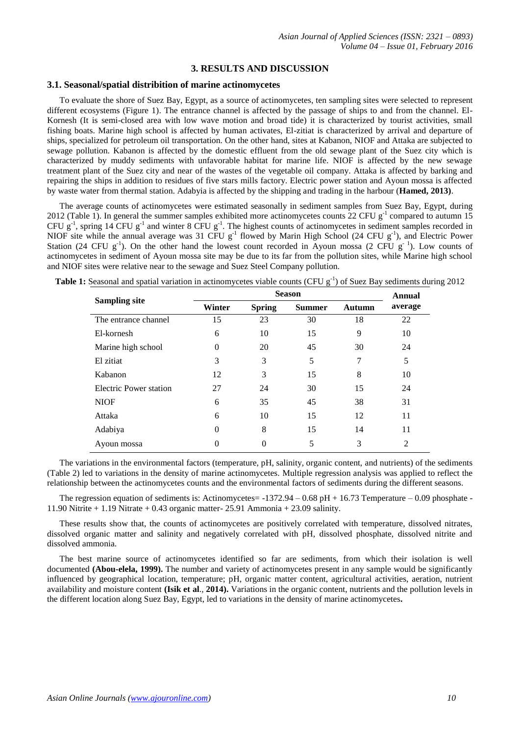## **3. RESULTS AND DISCUSSION**

#### **3.1. Seasonal/spatial distribition of marine actinomycetes**

To evaluate the shore of Suez Bay, Egypt, as a source of actinomycetes, ten sampling sites were selected to represent different ecosystems (Figure 1). The entrance channel is affected by the passage of ships to and from the channel. El-Kornesh (It is semi-closed area with low wave motion and broad tide) it is characterized by tourist activities, small fishing boats. Marine high school is affected by human activates, El-zitiat is characterized by arrival and departure of ships, specialized for petroleum oil transportation. On the other hand, sites at Kabanon, NIOF and Attaka are subjected to sewage pollution. Kabanon is affected by the domestic effluent from the old sewage plant of the Suez city which is characterized by muddy sediments with unfavorable habitat for marine life. NIOF is affected by the new sewage treatment plant of the Suez city and near of the wastes of the vegetable oil company. Attaka is affected by barking and repairing the ships in addition to residues of five stars mills factory. Electric power station and Ayoun mossa is affected by waste water from thermal station. Adabyia is affected by the shipping and trading in the harbour (**Hamed, 2013)**.

The average counts of actinomycetes were estimated seasonally in sediment samples from Suez Bay, Egypt, during 2012 (Table 1). In general the summer samples exhibited more actinomycetes counts 22 CFU  $g^{-1}$  compared to autumn 15 CFU  $g^{-1}$ , spring 14 CFU  $g^{-1}$  and winter 8 CFU  $g^{-1}$ . The highest counts of actinomycetes in sediment samples recorded in NIOF site while the annual average was 31 CFU  $g^{-1}$  flowed by Marin High School (24 CFU  $g^{-1}$ ), and Electric Power Station (24 CFU  $g^{-1}$ ). On the other hand the lowest count recorded in Ayoun mossa (2 CFU  $g^{-1}$ ). Low counts of actinomycetes in sediment of Ayoun mossa site may be due to its far from the pollution sites, while Marine high school and NIOF sites were relative near to the sewage and Suez Steel Company pollution.

|                        |        | <b>Annual</b> |               |               |         |
|------------------------|--------|---------------|---------------|---------------|---------|
| <b>Sampling site</b>   | Winter | <b>Spring</b> | <b>Summer</b> | <b>Autumn</b> | average |
| The entrance channel   | 15     | 23            | 30            | 18            | 22      |
| El-kornesh             | 6      | 10            | 15            | 9             | 10      |
| Marine high school     | 0      | 20            | 45            | 30            | 24      |
| El zitiat              | 3      | 3             | 5             | 7             | 5       |
| Kabanon                | 12     | 3             | 15            | 8             | 10      |
| Electric Power station | 27     | 24            | 30            | 15            | 24      |
| <b>NIOF</b>            | 6      | 35            | 45            | 38            | 31      |
| Attaka                 | 6      | 10            | 15            | 12            | 11      |
| Adabiya                | 0      | 8             | 15            | 14            | 11      |
| Ayoun mossa            |        | 0             | 5             | 3             | 2       |

Table 1: Seasonal and spatial variation in actinomycetes viable counts (CFU g<sup>-1</sup>) of Suez Bay sediments during 2012

The variations in the environmental factors (temperature, pH, salinity, organic content, and nutrients) of the sediments (Table 2) led to variations in the density of marine actinomycetes. Multiple regression analysis was applied to reflect the relationship between the actinomycetes counts and the environmental factors of sediments during the different seasons.

The regression equation of sediments is: Actinomycetes =  $-1372.94 - 0.68$  pH + 16.73 Temperature – 0.09 phosphate -11.90 Nitrite + 1.19 Nitrate + 0.43 organic matter- 25.91 Ammonia + 23.09 salinity.

These results show that, the counts of actinomycetes are positively correlated with temperature, dissolved nitrates, dissolved organic matter and salinity and negatively correlated with pH, dissolved phosphate, dissolved nitrite and dissolved ammonia.

The best marine source of actinomycetes identified so far are sediments, from which their isolation is well documented **(Abou-elela, 1999).** The number and variety of actinomycetes present in any sample would be significantly influenced by geographical location, temperature; pH, organic matter content, agricultural activities, aeration, nutrient availability and moisture content **(Isik et al**., **2014).** Variations in the organic content, nutrients and the pollution levels in the different location along Suez Bay, Egypt, led to variations in the density of marine actinomycetes**.**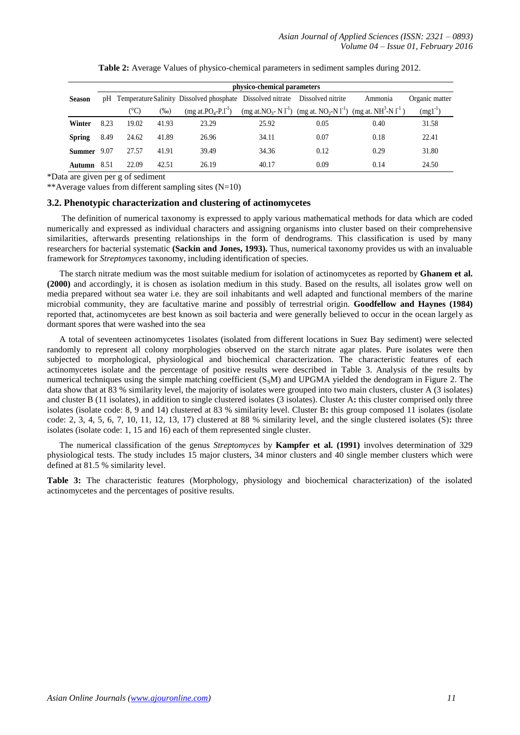|                    |      |       |         |                                                                                 | physico-chemical parameters |      |                                                                                                                                        |                |
|--------------------|------|-------|---------|---------------------------------------------------------------------------------|-----------------------------|------|----------------------------------------------------------------------------------------------------------------------------------------|----------------|
| <b>Season</b>      |      |       |         | pH Temperature Salinity Dissolved phosphate Dissolved nitrate Dissolved nitrite |                             |      | Ammonia                                                                                                                                | Organic matter |
|                    |      | (°C)  | $(\%0)$ | $(mg \text{ at } PO_4 - P.I^{-1})$                                              |                             |      | (mg at. NO <sub>3</sub> -N l <sup>-1</sup> ) (mg at. NO <sub>2</sub> -N l <sup>-1</sup> ) (mg at. NH <sup>3</sup> -N l <sup>-1</sup> ) | $(mgl^{-1})$   |
| Winter             | 8.23 | 19.02 | 41.93   | 23.29                                                                           | 25.92                       | 0.05 | 0.40                                                                                                                                   | 31.58          |
| <b>Spring</b>      | 8.49 | 24.62 | 41.89   | 26.96                                                                           | 34.11                       | 0.07 | 0.18                                                                                                                                   | 22.41          |
| <b>Summer</b> 9.07 |      | 27.57 | 41.91   | 39.49                                                                           | 34.36                       | 0.12 | 0.29                                                                                                                                   | 31.80          |
| Autumn             | 8.51 | 22.09 | 42.51   | 26.19                                                                           | 40.17                       | 0.09 | 0.14                                                                                                                                   | 24.50          |

**Table 2:** Average Values of physico-chemical parameters in sediment samples during 2012.

\*Data are given per g of sediment

\*\*Average values from different sampling sites  $(N=10)$ 

# **3.2. Phenotypic characterization and clustering of actinomycetes**

The definition of numerical taxonomy is expressed to apply various mathematical methods for data which are coded numerically and expressed as individual characters and assigning organisms into cluster based on their comprehensive similarities, afterwards presenting relationships in the form of dendrograms. This classification is used by many researchers for bacterial systematic **(Sackin and Jones, 1993).** Thus, numerical taxonomy provides us with an invaluable framework for *Streptomyces* taxonomy, including identification of species.

The starch nitrate medium was the most suitable medium for isolation of actinomycetes as reported by **Ghanem et al. (2000)** and accordingly, it is chosen as isolation medium in this study. Based on the results, all isolates grow well on media prepared without sea water i.e. they are soil inhabitants and well adapted and functional members of the marine microbial community, they are facultative marine and possibly of terrestrial origin. **Goodfellow and Haynes (1984)** reported that, actinomycetes are best known as soil bacteria and were generally believed to occur in the ocean largely as dormant spores that were washed into the sea

A total of seventeen actinomycetes 1isolates (isolated from different locations in Suez Bay sediment) were selected randomly to represent all colony morphologies observed on the starch nitrate agar plates. Pure isolates were then subjected to morphological, physiological and biochemical characterization. The characteristic features of each actinomycetes isolate and the percentage of positive results were described in Table 3. Analysis of the results by numerical techniques using the simple matching coefficient  $(S<sub>s</sub>M)$  and UPGMA yielded the dendogram in Figure 2. The data show that at 83 % similarity level, the majority of isolates were grouped into two main clusters, cluster A (3 isolates) and cluster B (11 isolates), in addition to single clustered isolates (3 isolates). Cluster A**:** this cluster comprised only three isolates (isolate code: 8, 9 and 14) clustered at 83 % similarity level. Cluster B**:** this group composed 11 isolates (isolate code: 2, 3, 4, 5, 6, 7, 10, 11, 12, 13, 17) clustered at 88 % similarity level, and the single clustered isolates (S)**:** three isolates (isolate code: 1, 15 and 16) each of them represented single cluster.

The numerical classification of the genus *Streptomyces* by **Kampfer et al. (1991)** involves determination of 329 physiological tests. The study includes 15 major clusters, 34 minor clusters and 40 single member clusters which were defined at 81.5 % similarity level.

**Table 3:** The characteristic features (Morphology, physiology and biochemical characterization) of the isolated actinomycetes and the percentages of positive results.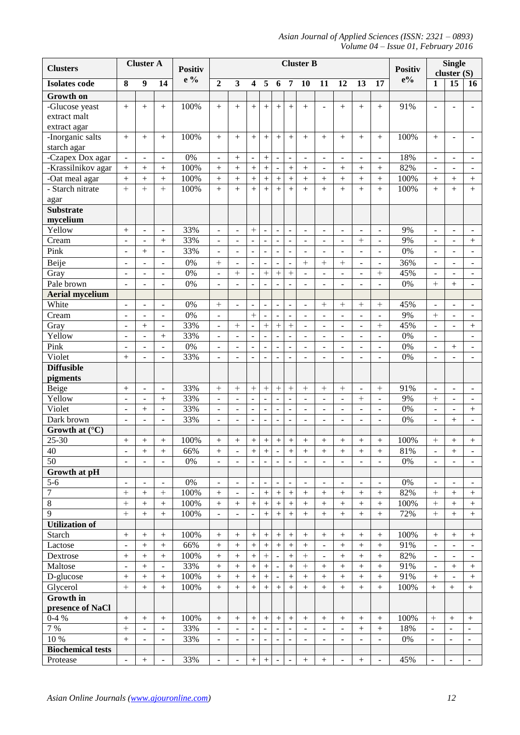*Asian Journal of Applied Sciences (ISSN: 2321 – 0893) Volume 04 – Issue 01, February 2016*

| <b>Clusters</b>            |                          | <b>Cluster A</b>             |                              | <b>Positiv</b>   | <b>Cluster B</b>         |                          |                          |                              |                              |                              |                          |                              | <b>Positiv</b>                     |                              |                              |          |                              | <b>Single</b><br>cluster $(S)$     |                              |  |  |
|----------------------------|--------------------------|------------------------------|------------------------------|------------------|--------------------------|--------------------------|--------------------------|------------------------------|------------------------------|------------------------------|--------------------------|------------------------------|------------------------------------|------------------------------|------------------------------|----------|------------------------------|------------------------------------|------------------------------|--|--|
| <b>Isolates code</b>       | 8                        | $\boldsymbol{9}$             | 14                           | e %              | $\overline{2}$           | $\overline{\mathbf{3}}$  | $\overline{\mathbf{4}}$  | 5                            | 6                            | $\overline{7}$               | 10                       | 11                           | 12                                 | 13                           | 17                           | $e\%$    | $\mathbf{1}$                 | 15                                 | 16                           |  |  |
| <b>Growth</b> on           |                          |                              |                              |                  |                          |                          |                          |                              |                              |                              |                          |                              |                                    |                              |                              |          |                              |                                    |                              |  |  |
| -Glucose yeast             | $+$                      | $+$                          | $+$                          | 100%             | $+$                      | $+$                      | $+$                      | $+$                          | $+$                          | $+$                          | $+$                      |                              | $+$                                | $+$                          | $+$                          | 91%      | ÷                            |                                    | $\blacksquare$               |  |  |
| extract malt               |                          |                              |                              |                  |                          |                          |                          |                              |                              |                              |                          |                              |                                    |                              |                              |          |                              |                                    |                              |  |  |
| extract agar               |                          |                              |                              |                  |                          |                          |                          |                              |                              |                              |                          |                              |                                    |                              |                              |          |                              |                                    |                              |  |  |
| -Inorganic salts           | $+$                      | $^{+}$                       | $^{+}$                       | 100%             | $+$                      | $^{+}$                   | $^{+}$                   | $^{+}$                       | $\ddot{}$                    | $^{+}$                       | $^{+}$                   | $+$                          | $+$                                | $^{+}$                       | $+$                          | 100%     | $+$                          | $\overline{\phantom{a}}$           | $\overline{\phantom{a}}$     |  |  |
| starch agar                |                          |                              |                              |                  |                          |                          |                          |                              |                              |                              |                          |                              |                                    |                              |                              |          |                              |                                    |                              |  |  |
| -Czapex Dox agar           | $\overline{\phantom{a}}$ | $\overline{a}$               | $\overline{\phantom{a}}$     | $\overline{0\%}$ | $\overline{\phantom{a}}$ | $\boldsymbol{+}$         | $\overline{a}$           | $\boldsymbol{+}$             | $\blacksquare$               | $\overline{a}$               | $\overline{\phantom{a}}$ |                              | $\overline{\phantom{a}}$           | $\overline{\phantom{a}}$     | $\overline{\phantom{a}}$     | 18%      | $\qquad \qquad \blacksquare$ | $\overline{\phantom{a}}$           | $\overline{a}$               |  |  |
| -Krassilnikov agar         | $\ddot{}$                | $+$                          | $^{+}$                       | 100%             | $^{+}$                   | $\ddot{}$                | $^{+}$                   | $^{+}$                       | $\blacksquare$               | $^{+}$                       | $^{+}$                   | $\blacksquare$               | $\boldsymbol{+}$                   | $^{+}$                       | $^{+}$                       | 82%      | $\blacksquare$               | $\blacksquare$                     | $\blacksquare$               |  |  |
| -Oat meal agar             | $\boldsymbol{+}$         | $+$                          | $^{+}$                       | 100%             | $^{+}$                   | $^{+}$                   | $^{+}$                   | $^{+}$                       | $\qquad \qquad +$            | $^{+}$                       | $^{+}$                   | $^{+}$                       | $^{+}$                             | $^{+}$                       | $^{+}$                       | 100%     | $^{+}$                       | $^{+}$                             |                              |  |  |
| - Starch nitrate           | $\ddot{}$                | $\ddot{}$                    | $+$                          | 100%             | $^{+}$                   | $+$                      | $\ddot{}$                | $\ddot{}$                    | $\ddot{}$                    | $\ddot{}$                    | $+$                      | $+$                          | $\ddot{}$                          | $+$                          | $^{+}$                       | 100%     | $+$                          | $+$                                | $+$                          |  |  |
| agar                       |                          |                              |                              |                  |                          |                          |                          |                              |                              |                              |                          |                              |                                    |                              |                              |          |                              |                                    |                              |  |  |
| <b>Substrate</b>           |                          |                              |                              |                  |                          |                          |                          |                              |                              |                              |                          |                              |                                    |                              |                              |          |                              |                                    |                              |  |  |
| mycelium                   |                          |                              |                              |                  |                          |                          |                          |                              |                              |                              |                          |                              |                                    |                              |                              |          |                              |                                    |                              |  |  |
| Yellow                     | $^{+}$                   | $\qquad \qquad \blacksquare$ | ÷,                           | 33%              | $\overline{\phantom{a}}$ | $\overline{a}$           | $^{+}$                   | $\frac{1}{2}$                | $\blacksquare$               | $\blacksquare$               | $\blacksquare$           | $\blacksquare$               | $\blacksquare$                     | $\blacksquare$               | $\overline{\phantom{a}}$     | 9%       | $\overline{\phantom{a}}$     | $\blacksquare$                     | $\overline{\phantom{a}}$     |  |  |
| Cream                      | $\overline{a}$           | $\overline{\phantom{a}}$     | $^{+}$                       | 33%              | $\blacksquare$           | $\overline{\phantom{a}}$ | $\overline{\phantom{a}}$ | $\overline{a}$               | $\overline{\phantom{a}}$     | $\overline{\phantom{0}}$     | $\blacksquare$           | $\overline{\phantom{a}}$     | $\overline{\phantom{a}}$           | $+$                          | $\overline{\phantom{a}}$     | 9%       | $\overline{\phantom{a}}$     | $\overline{\phantom{a}}$           | $^{+}$                       |  |  |
| Pink                       | $\ddot{\phantom{1}}$     | $+$                          | ÷,                           | 33%              | $\blacksquare$           | $\blacksquare$           | $\blacksquare$           | $\overline{a}$               | $\overline{a}$               | $\overline{a}$               | Ĭ.                       |                              | $\overline{\phantom{a}}$           | $\overline{a}$               |                              | 0%       | $\blacksquare$               |                                    |                              |  |  |
| Beije                      | $\blacksquare$           |                              | $\overline{\phantom{0}}$     | 0%               | $^{+}$                   | $\frac{1}{2}$            | $\overline{a}$           | $\frac{1}{2}$                | $\blacksquare$               |                              | $^{+}$                   | $+$                          | $+$                                | $\blacksquare$               | $\qquad \qquad \blacksquare$ | 36%      | $\qquad \qquad \blacksquare$ | $\overline{\phantom{a}}$           | $\overline{\phantom{a}}$     |  |  |
| Gray                       | $\overline{a}$           |                              | $\blacksquare$               | 0%               | $\blacksquare$           | $+$                      | $\frac{1}{2}$            | $\ddot{}$                    | $\ddot{}$                    | $\ddot{}$                    |                          |                              | $\overline{\phantom{0}}$           | $\qquad \qquad \blacksquare$ | $+$                          | 45%      | $\frac{1}{2}$                | $\qquad \qquad \blacksquare$       | $\overline{\phantom{a}}$     |  |  |
| Pale brown                 | $\bar{\phantom{a}}$      |                              | $\overline{a}$               | 0%               | $\blacksquare$           |                          | $\overline{a}$           | $\overline{a}$               |                              |                              |                          |                              | $\overline{a}$                     | $\overline{a}$               |                              | 0%       | $+$                          | $^{+}$                             | $\blacksquare$               |  |  |
| <b>Aerial mycelium</b>     |                          |                              |                              |                  |                          |                          |                          |                              |                              |                              |                          |                              |                                    |                              |                              |          |                              |                                    |                              |  |  |
| White                      | $\overline{\phantom{a}}$ | $\qquad \qquad \blacksquare$ | ÷,                           | 0%               | $^{+}$                   | $\overline{a}$           | $\frac{1}{2}$            | $\frac{1}{2}$                | $\blacksquare$               | $\qquad \qquad \blacksquare$ | $\blacksquare$           | $+$                          | $+$                                | $^{+}$                       | $+$                          | 45%      | $\qquad \qquad \blacksquare$ | $\blacksquare$                     | $\blacksquare$               |  |  |
| Cream                      | $\overline{\phantom{m}}$ | $\overline{\phantom{a}}$     | $\qquad \qquad \blacksquare$ | 0%               | $\blacksquare$           |                          | $^{+}$                   | $\overline{\phantom{0}}$     |                              |                              |                          | $\overline{\phantom{0}}$     | $\qquad \qquad \blacksquare$       | $\qquad \qquad \blacksquare$ | $\qquad \qquad \blacksquare$ | 9%       | $+$                          | $\qquad \qquad \blacksquare$       | $\overline{\phantom{a}}$     |  |  |
| Gray                       | $\overline{a}$           | $^{+}$                       | ÷,                           | 33%              | $\blacksquare$           | $\ddot{}$                | $\overline{a}$           | $^{+}$                       | $\ddot{}$                    | $\ddot{}$                    | $\overline{a}$           |                              | $\frac{1}{2}$                      | $\frac{1}{2}$                | $^{+}$                       | 45%      | $\qquad \qquad \blacksquare$ | $\blacksquare$                     | $^{+}$                       |  |  |
| Yellow<br>Pink             | $\overline{\phantom{m}}$ | $\overline{\phantom{a}}$     |                              | 33%<br>0%        | $\blacksquare$           | $\overline{\phantom{m}}$ | $\overline{\phantom{0}}$ | $\qquad \qquad \blacksquare$ |                              |                              |                          | $\qquad \qquad \blacksquare$ | $\qquad \qquad \blacksquare$       | $\overline{a}$               |                              | 0%       | $\qquad \qquad \blacksquare$ |                                    | $\overline{\phantom{a}}$     |  |  |
| Violet                     | $\overline{a}$           |                              | ÷,                           | 33%              | $\blacksquare$           |                          | ÷,                       | $\frac{1}{2}$                |                              |                              | $\overline{a}$           |                              | $\overline{\phantom{a}}$           | $\overline{\phantom{a}}$     |                              | 0%<br>0% | $\qquad \qquad \blacksquare$ | $^{+}$                             | $\blacksquare$               |  |  |
| <b>Diffusible</b>          | $^{+}$                   |                              | ÷,                           |                  | $\frac{1}{2}$            |                          | $\overline{a}$           | $\frac{1}{2}$                |                              |                              |                          |                              | $\overline{\phantom{0}}$           | $\overline{a}$               |                              |          |                              | $\overline{\phantom{a}}$           | $\overline{\phantom{a}}$     |  |  |
| pigments                   |                          |                              |                              |                  |                          |                          |                          |                              |                              |                              |                          |                              |                                    |                              |                              |          |                              |                                    |                              |  |  |
| Beige                      | $\qquad \qquad +$        | $\overline{a}$               | $\overline{\phantom{a}}$     | 33%              |                          | $+$                      |                          | $^+$                         | $\boldsymbol{+}$             |                              | $+$                      |                              | $+$                                | $\blacksquare$               | $+$                          | 91%      | $\overline{\phantom{a}}$     | $\blacksquare$                     | $\overline{a}$               |  |  |
| Yellow                     |                          |                              | $^{+}$                       | 33%              | $\blacksquare$           | $\blacksquare$           | $\overline{a}$           | $\overline{\phantom{0}}$     | $\blacksquare$               | $\overline{\phantom{a}}$     |                          |                              | $\qquad \qquad \blacksquare$       | $^{+}$                       |                              | 9%       | $^{+}$                       |                                    |                              |  |  |
| Violet                     | $\sim$                   | $^{+}$                       | $\overline{\phantom{a}}$     | 33%              | $\blacksquare$           | $\overline{\phantom{a}}$ | $\overline{a}$           | $\overline{a}$               | $\overline{\phantom{a}}$     | $\overline{a}$               | $\blacksquare$           | $\overline{a}$               | $\blacksquare$                     | $\sim$                       | $\overline{a}$               | 0%       | ÷,                           | $\blacksquare$                     |                              |  |  |
| Dark brown                 |                          |                              | ÷,                           | 33%              | $\frac{1}{2}$            |                          | $\overline{a}$           | $\qquad \qquad \blacksquare$ | $\blacksquare$               | $\overline{a}$               |                          |                              | $\qquad \qquad \blacksquare$       |                              |                              | 0%       | $\qquad \qquad \blacksquare$ | $^{+}$                             |                              |  |  |
| Growth at (°C)             |                          |                              |                              |                  |                          |                          |                          |                              |                              |                              |                          |                              |                                    |                              |                              |          |                              |                                    |                              |  |  |
| $25 - 30$                  |                          | $^{+}$                       |                              | 100%             | $^{+}$                   |                          | $^{+}$                   | $\boldsymbol{+}$             | $\boldsymbol{+}$             | $^{+}$                       | $^{+}$                   | $^{+}$                       | $^{+}$                             |                              | $^{+}$                       | 100%     | $+$                          | $^{+}$                             | $^{+}$                       |  |  |
| 40                         | $\overline{\phantom{a}}$ | $^{+}$                       |                              | 66%              | $^{+}$                   | $\overline{\phantom{a}}$ | $\boldsymbol{+}$         |                              | $\blacksquare$               | $^{+}$                       | $^{+}$                   | $^{+}$                       |                                    | $^{+}$                       | $^{+}$                       | 81%      | $\blacksquare$               |                                    | $\overline{\phantom{a}}$     |  |  |
| 50                         |                          |                              | $\blacksquare$               | 0%               | $\blacksquare$           |                          | $\overline{a}$           | $\frac{1}{2}$                | $\blacksquare$               |                              |                          |                              | $\blacksquare$                     |                              |                              | 0%       | $\qquad \qquad \blacksquare$ | $\overline{\phantom{a}}$           |                              |  |  |
| Growth at pH               |                          |                              |                              |                  |                          |                          |                          |                              |                              |                              |                          |                              |                                    |                              |                              |          |                              |                                    |                              |  |  |
| $5 - 6$                    | $\overline{\phantom{a}}$ | $\blacksquare$               | $\blacksquare$               | $0\%$            | $\Box$                   | $\blacksquare$           | $\overline{\phantom{a}}$ | $\blacksquare$               | $\blacksquare$               | $\qquad \qquad \blacksquare$ | $\overline{\phantom{a}}$ | $\overline{\phantom{a}}$     | $\blacksquare$                     | $\overline{\phantom{a}}$     | $\blacksquare$               | 0%       | $\qquad \qquad \blacksquare$ | $\overline{\phantom{a}}$           | $\overline{\phantom{a}}$     |  |  |
| $\boldsymbol{7}$           | $^{+}$                   |                              | $+$                          | 100%             | $+$                      | $\blacksquare$           | $\overline{\phantom{a}}$ | $\boldsymbol{+}$             | $\boldsymbol{+}$             | $\boldsymbol{+}$             | $^{+}$                   |                              | $+$                                | $^{+}$                       |                              | 82%      | $^{+}$                       | $^{+}$                             | $\boldsymbol{+}$             |  |  |
| $\overline{8}$             | $^{+}$                   | $^{+}$                       | $+$                          | 100%             | $+$                      |                          |                          | $+$                          | $\boldsymbol{+}$             | $^{+}$                       | $^{+}$                   |                              | $\boldsymbol{+}$                   |                              | $^{+}$                       | 100%     | $^{+}$                       | $^{+}$                             | $\boldsymbol{+}$             |  |  |
| $\overline{9}$             | $+$                      | $^{+}$                       |                              | 100%             | $\blacksquare$           | $\overline{a}$           | $\overline{\phantom{a}}$ | $\boldsymbol{+}$             | $\boldsymbol{+}$             | $\boldsymbol{+}$             | $^{+}$                   |                              | $\boldsymbol{+}$                   | $\boldsymbol{+}$             | $\boldsymbol{+}$             | 72%      | $^{+}$                       | $+$                                | $\boldsymbol{+}$             |  |  |
| <b>Utilization of</b>      |                          |                              |                              |                  |                          |                          |                          |                              |                              |                              |                          |                              |                                    |                              |                              |          |                              |                                    |                              |  |  |
| Starch                     | $^{+}$                   | $\boldsymbol{+}$             |                              | 100%             | $+$                      | $\boldsymbol{+}$         |                          | $\boldsymbol{+}$             | $\boldsymbol{+}$             | $^{+}$                       | $^{+}$                   | $\boldsymbol{+}$             |                                    | $\boldsymbol{+}$             | $\boldsymbol{+}$             | 100%     | $\boldsymbol{+}$             | $^{+}$                             | $\boldsymbol{+}$             |  |  |
| Lactose                    | $\overline{\phantom{a}}$ | $^{+}$                       |                              | 66%              | $\boldsymbol{+}$         | $\boldsymbol{+}$         | $^{+}$                   | $\boldsymbol{+}$             | $\boldsymbol{+}$             | $^{+}$                       | $^{+}$                   | $\overline{\phantom{m}}$     | $\boldsymbol{+}$                   |                              | $\boldsymbol{+}$             | 91%      | $\overline{\phantom{a}}$     | $\overline{\phantom{a}}$           | $\overline{\phantom{a}}$     |  |  |
| Dextrose                   | $^{+}$                   | $^{+}$                       |                              | 100%             | $\boldsymbol{+}$         | $\boldsymbol{+}$         | $^{+}$                   | $^+$                         | $\blacksquare$               | $^{+}$                       | $^{+}$                   | $\blacksquare$               | $\boldsymbol{+}$                   |                              | $\boldsymbol{+}$             | 82%      | $\qquad \qquad \blacksquare$ | $\overline{\phantom{a}}$           | $\overline{\phantom{a}}$     |  |  |
| Maltose                    | $\overline{\phantom{a}}$ | $^{+}$                       | $\blacksquare$               | 33%              | $\boldsymbol{+}$         | $\boldsymbol{+}$         | $^{+}$                   | $\boldsymbol{+}$             | $\blacksquare$               | $^{+}$                       | $^{+}$                   | $^{+}$                       | $\boldsymbol{+}$                   |                              | $^{+}$                       | 91%      | ÷,                           | $^{+}$                             | $\boldsymbol{+}$             |  |  |
| D-glucose                  | $^{+}$                   | $^{+}$                       |                              | 100%             | $\boldsymbol{+}$         | $\boldsymbol{+}$         | $^{+}$                   | $\boldsymbol{+}$             | $\blacksquare$               | $^{+}$                       | $^{+}$                   |                              | $\boldsymbol{+}$                   |                              | $\boldsymbol{+}$             | 91%      | $\boldsymbol{+}$             | $\overline{\phantom{a}}$           | $\boldsymbol{+}$             |  |  |
| Glycerol                   | $\overline{+}$           | $^{+}$                       |                              | 100%             | $\boldsymbol{+}$         | $\boldsymbol{+}$         | $\boldsymbol{+}$         | $\boldsymbol{+}$             | $\boldsymbol{+}$             | $^{+}$                       | $^{+}$                   | $^{+}$                       | $^{+}$                             | $\boldsymbol{+}$             | $^{+}$                       | 100%     | $^{+}$                       | $\! +$                             | $^{+}$                       |  |  |
| <b>Growth</b> in           |                          |                              |                              |                  |                          |                          |                          |                              |                              |                              |                          |                              |                                    |                              |                              |          |                              |                                    |                              |  |  |
| presence of NaCl<br>$0-4%$ |                          |                              |                              | 100%             | $+$                      |                          |                          |                              |                              |                              |                          |                              |                                    |                              |                              | 100%     | $^{+}$                       |                                    |                              |  |  |
| 7 %                        | $\ddot{}$                | $^{+}$                       | $\blacksquare$               | 33%              | $\blacksquare$           | $\overline{\phantom{a}}$ | $\blacksquare$           | $\blacksquare$               | $\boldsymbol{+}$<br>$\omega$ | $^{+}$                       | $^{+}$<br>$\blacksquare$ | $+$<br>$\blacksquare$        | $\boldsymbol{+}$<br>$\blacksquare$ | $\! + \!$                    | $^{+}$<br>$^{+}$             | 18%      | $\blacksquare$               | $\boldsymbol{+}$<br>$\blacksquare$ | $^{+}$<br>$\blacksquare$     |  |  |
| 10 %                       | $\ddot{}$                | $\overline{\phantom{a}}$     | $\blacksquare$               | 33%              | $\overline{\phantom{a}}$ | $\overline{\phantom{a}}$ | ÷                        | $\overline{\phantom{0}}$     | $\overline{\phantom{a}}$     | ÷,                           | $\sim$                   | $\overline{\phantom{m}}$     | $\overline{\phantom{a}}$           | $\overline{\phantom{a}}$     | $\overline{\phantom{a}}$     | 0%       | $\overline{a}$               | $\overline{\phantom{a}}$           | $\overline{\phantom{a}}$     |  |  |
| <b>Biochemical tests</b>   |                          |                              |                              |                  |                          |                          |                          |                              |                              |                              |                          |                              |                                    |                              |                              |          |                              |                                    |                              |  |  |
| Protease                   | $\overline{\phantom{a}}$ | $^{+}$                       | $\overline{\phantom{a}}$     | 33%              | $\overline{\phantom{a}}$ | $\overline{\phantom{a}}$ | $^{+}$                   |                              | $\overline{a}$               | ÷,                           | $^{+}$                   | $^{+}$                       | ÷,                                 |                              | $\overline{\phantom{a}}$     | 45%      | $\qquad \qquad \blacksquare$ | $\qquad \qquad \blacksquare$       | $\qquad \qquad \blacksquare$ |  |  |
|                            |                          |                              |                              |                  |                          |                          |                          |                              |                              |                              |                          |                              |                                    |                              |                              |          |                              |                                    |                              |  |  |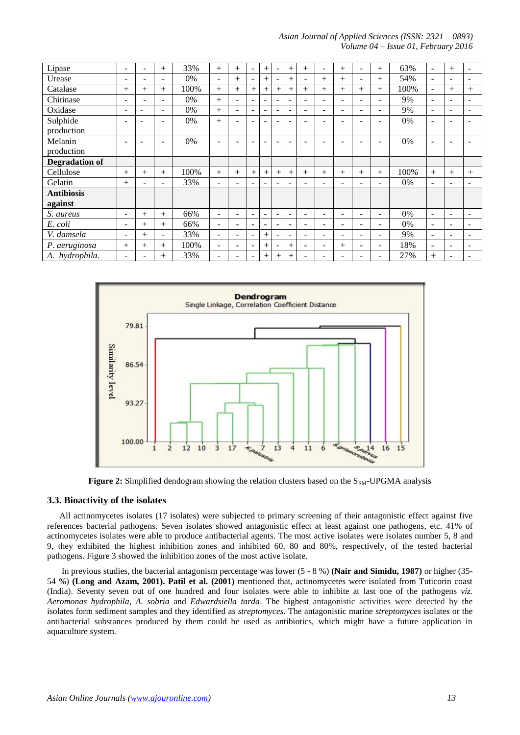#### *Asian Journal of Applied Sciences (ISSN: 2321 – 0893) Volume 04 – Issue 01, February 2016*

| Lipase            | $\overline{\phantom{a}}$ | -      | $^{+}$                   | 33%  | $+$                      | $^{+}$                   | $\overline{\phantom{a}}$ | $+$                      | $\overline{\phantom{a}}$     | $^{+}$                   | $^{+}$ | ۰      | $^{+}$ | ۰                        | $^{+}$ | 63%   | $\overline{\phantom{a}}$ | $^{+}$                   | $\overline{\phantom{0}}$ |
|-------------------|--------------------------|--------|--------------------------|------|--------------------------|--------------------------|--------------------------|--------------------------|------------------------------|--------------------------|--------|--------|--------|--------------------------|--------|-------|--------------------------|--------------------------|--------------------------|
| Urease            | $\overline{\phantom{a}}$ | -      | ۰                        | 0%   | Ξ.                       | $^{+}$                   | $\overline{\phantom{0}}$ | $^{+}$                   | $\overline{\phantom{a}}$     | $^{+}$                   | -      | $^{+}$ | $+$    | $\overline{\phantom{0}}$ | $^{+}$ | 54%   | $\blacksquare$           | $\overline{\phantom{0}}$ | $\overline{\phantom{0}}$ |
| Catalase          | $^{+}$                   | $^{+}$ | $+$                      | 100% | $+$                      | $^{+}$                   | $+$                      | $+$                      | $^{+}$                       | $+$                      | $^{+}$ | $^{+}$ | $+$    | $+$                      | $^{+}$ | 100%  | $\overline{\phantom{a}}$ | $^{+}$                   | $+$                      |
| Chitinase         | $\blacksquare$           | -      | $\overline{\phantom{0}}$ | 0%   | $+$                      | $\overline{\phantom{a}}$ | ۰                        | $\overline{\phantom{a}}$ | $\overline{\phantom{a}}$     | $\overline{\phantom{a}}$ | -      | Ξ.     | ۰      | $\overline{\phantom{0}}$ | ۰.     | 9%    | $\blacksquare$           | $\overline{\phantom{0}}$ | $\overline{\phantom{0}}$ |
| Oxidase           | $\blacksquare$           |        | $\overline{\phantom{a}}$ | 0%   | $+$                      | $\overline{\phantom{a}}$ | -                        | $\overline{\phantom{0}}$ | $\qquad \qquad \blacksquare$ | $\overline{\phantom{a}}$ | -      | Ξ.     | ۰      | ۰                        | -      | 9%    | $\overline{\phantom{a}}$ | $\overline{\phantom{0}}$ |                          |
| Sulphide          | -                        |        | $\blacksquare$           | 0%   | $+$                      |                          |                          |                          |                              | ÷                        |        |        |        |                          |        | 0%    | $\overline{\phantom{a}}$ | $\overline{\phantom{0}}$ |                          |
| production        |                          |        |                          |      |                          |                          |                          |                          |                              |                          |        |        |        |                          |        |       |                          |                          |                          |
| Melanin           | -                        |        | $\overline{\phantom{a}}$ | 0%   | $\overline{\phantom{0}}$ | -                        |                          |                          |                              | ۰                        |        |        | -      | -                        | -      | 0%    | $\overline{\phantom{a}}$ | $\overline{\phantom{0}}$ |                          |
| production        |                          |        |                          |      |                          |                          |                          |                          |                              |                          |        |        |        |                          |        |       |                          |                          |                          |
| Degradation of    |                          |        |                          |      |                          |                          |                          |                          |                              |                          |        |        |        |                          |        |       |                          |                          |                          |
| Cellulose         | $^{+}$                   | $^{+}$ | $+$                      | 100% | $+$                      | $^{+}$                   | $^{+}$                   | $+$                      | $^{+}$                       | $+$                      | $^{+}$ | $^{+}$ | $+$    | $+$                      | $^{+}$ | 100%  | $+$                      | $^{+}$                   | $+$                      |
| Gelatin           | $^{+}$                   |        | $\overline{\phantom{a}}$ | 33%  | Ξ.                       | $\overline{\phantom{a}}$ | -                        | $\overline{\phantom{a}}$ | $\qquad \qquad \blacksquare$ | $\overline{\phantom{a}}$ |        |        | -      | ۰                        |        | $0\%$ | $\overline{\phantom{a}}$ | $\overline{\phantom{0}}$ |                          |
| <b>Antibiosis</b> |                          |        |                          |      |                          |                          |                          |                          |                              |                          |        |        |        |                          |        |       |                          |                          |                          |
| against           |                          |        |                          |      |                          |                          |                          |                          |                              |                          |        |        |        |                          |        |       |                          |                          |                          |
| S. aureus         | $\overline{\phantom{0}}$ | $+$    | $+$                      | 66%  | Ξ.                       | $\blacksquare$           | ۰                        | $\overline{\phantom{a}}$ | $\overline{\phantom{a}}$     | $\overline{\phantom{a}}$ |        | ۰      | ۰      | -                        | -      | $0\%$ | $\overline{\phantom{a}}$ | $\overline{\phantom{0}}$ | $\sim$                   |
| E. coli           | $\overline{\phantom{a}}$ | $^{+}$ | $+$                      | 66%  | Ξ.                       | $\overline{\phantom{a}}$ | -                        | $\overline{\phantom{a}}$ | $\overline{\phantom{a}}$     | $\overline{\phantom{a}}$ |        | -      | -      | -                        | -      | 0%    | $\overline{\phantom{a}}$ | $\overline{\phantom{0}}$ |                          |
| V. damsela        | $\overline{\phantom{a}}$ | $^{+}$ | $\overline{\phantom{a}}$ | 33%  | Ξ.                       | $\overline{\phantom{a}}$ | -                        | $+$                      | $\overline{\phantom{a}}$     | $\overline{\phantom{a}}$ |        | -      | ۰      | ۰                        | -      | 9%    | $\overline{\phantom{a}}$ | $\overline{\phantom{0}}$ |                          |
| P. aeruginosa     | $^{+}$                   | $^{+}$ | $+$                      | 100% | Ξ.                       | $\sim$                   | -                        | $+$                      | -                            | $+$                      | -      | -      | $^{+}$ | ۰                        | ۰      | 18%   | $\overline{\phantom{a}}$ | $\overline{\phantom{0}}$ |                          |
| A. hydrophila.    | $\overline{\phantom{a}}$ |        | $^{+}$                   | 33%  | -                        |                          |                          | $^{+}$                   | $^{+}$                       | $^{+}$                   |        |        |        |                          |        | 27%   | $^{+}$                   | -                        |                          |





#### **3.3. Bioactivity of the isolates**

All actinomycetes isolates (17 isolates) were subjected to primary screening of their antagonistic effect against five references bacterial pathogens. Seven isolates showed antagonistic effect at least against one pathogens, etc. 41% of actinomycetes isolates were able to produce antibacterial agents. The most active isolates were isolates number 5, 8 and 9, they exhibited the highest inhibition zones and inhibited 60, 80 and 80%, respectively, of the tested bacterial pathogens. Figure 3 showed the inhibition zones of the most active isolate.

In previous studies, the bacterial antagonism percentage was lower (5 - 8 %) **(Nair and Simidu, 1987)** or higher (35- 54 %) **(Long and Azam, 2001). Patil et al. (2001)** mentioned that, actinomycetes were isolated from Tuticorin coast (India). Seventy seven out of one hundred and four isolates were able to inhibite at last one of the pathogens *viz. Aeromonas hydrophila*, *A. sobria* and *Edwardsiella tarda*. The highest antagonistic activities were detected by the isolates form sediment samples and they identified as *streptomyces*. The antagonistic marine *streptomyces* isolates or the antibacterial substances produced by them could be used as antibiotics, which might have a future application in aquaculture system.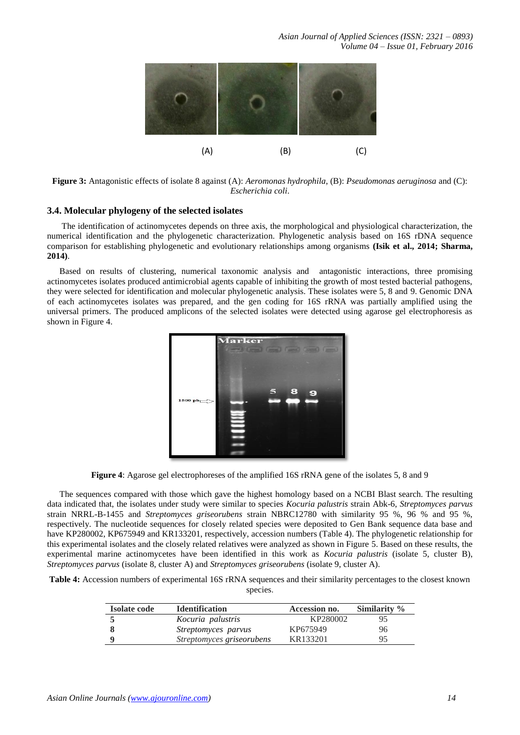

**Figure 3:** Antagonistic effects of isolate 8 against (A): *Aeromonas hydrophila*, (B): *Pseudomonas aeruginosa* and (C): *Escherichia coli*.

# **3.4. Molecular phylogeny of the selected isolates**

The identification of actinomycetes depends on three axis, the morphological and physiological characterization, the numerical identification and the phylogenetic characterization. Phylogenetic analysis based on 16S rDNA sequence comparison for establishing phylogenetic and evolutionary relationships among organisms **(Isik et al., 2014; Sharma, 2014)**.

Based on results of clustering, numerical taxonomic analysis and antagonistic interactions, three promising actinomycetes isolates produced antimicrobial agents capable of inhibiting the growth of most tested bacterial pathogens, they were selected for identification and molecular phylogenetic analysis. These isolates were 5, 8 and 9. Genomic DNA of each actinomycetes isolates was prepared, and the gen coding for 16S rRNA was partially amplified using the universal primers. The produced amplicons of the selected isolates were detected using agarose gel electrophoresis as shown in Figure 4.



**Figure 4**: Agarose gel electrophoreses of the amplified 16S rRNA gene of the isolates 5, 8 and 9

The sequences compared with those which gave the highest homology based on a NCBI Blast search. The resulting data indicated that, the isolates under study were similar to species *Kocuria palustris* strain Abk-6, *Streptomyces parvus*  strain NRRL-B-1455 and *Streptomyces griseorubens* strain NBRC12780 with similarity 95 %, 96 % and 95 %, respectively. The nucleotide sequences for closely related species were deposited to Gen Bank sequence data base and have KP280002, KP675949 and KR133201, respectively, accession numbers (Table 4). The phylogenetic relationship for this experimental isolates and the closely related relatives were analyzed as shown in Figure 5. Based on these results, the experimental marine actinomycetes have been identified in this work as *Kocuria palustris* (isolate 5, cluster B), *Streptomyces parvus* (isolate 8, cluster A) and *Streptomyces griseorubens* (isolate 9, cluster A).

**Table 4:** Accession numbers of experimental 16S rRNA sequences and their similarity percentages to the closest known species.

| <b>Isolate code</b> | <b>Identification</b>     | Accession no. | Similarity % |
|---------------------|---------------------------|---------------|--------------|
|                     | Kocuria palustris         | KP280002      | 95           |
|                     | Streptomyces parvus       | KP675949      | 96           |
|                     | Streptomyces griseorubens | KR133201      | 95           |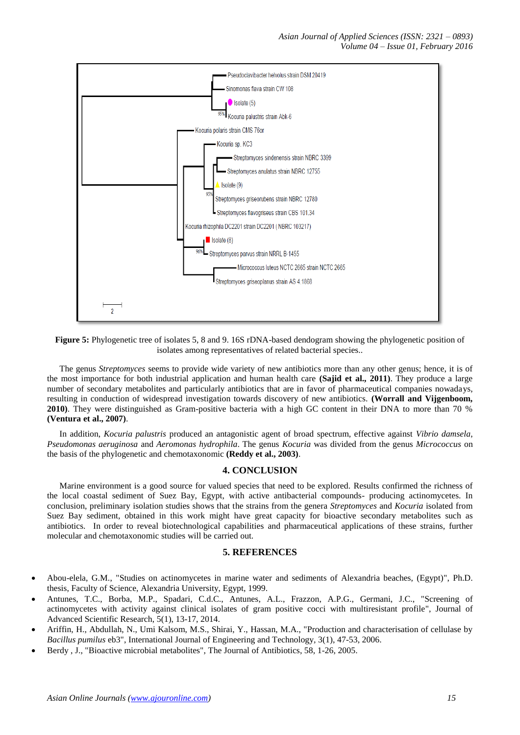

**Figure 5:** Phylogenetic tree of isolates 5, 8 and 9. 16S rDNA-based dendogram showing the phylogenetic position of isolates among representatives of related bacterial species..

The genus *Streptomyces* seems to provide wide variety of new antibiotics more than any other genus; hence, it is of the most importance for both industrial application and human health care **(Sajid et al., 2011)**. They produce a large number of secondary metabolites and particularly antibiotics that are in favor of pharmaceutical companies nowadays, resulting in conduction of widespread investigation towards discovery of new antibiotics. **(Worrall and Vijgenboom, 2010)**. They were distinguished as Gram-positive bacteria with a high GC content in their DNA to more than 70 % **(Ventura et al., 2007)**.

In addition, *Kocuria palustris* produced an antagonistic agent of broad spectrum, effective against *Vibrio damsela*, *Pseudomonas aeruginosa* and *Aeromonas hydrophila*. The genus *Kocuria* was divided from the genus *Micrococcus* on the basis of the phylogenetic and chemotaxonomic **(Reddy et al., 2003)**.

# **4. CONCLUSION**

Marine environment is a good source for valued species that need to be explored. Results confirmed the richness of the local coastal sediment of Suez Bay, Egypt, with active antibacterial compounds- producing actinomycetes. In conclusion, preliminary isolation studies shows that the strains from the genera *Streptomyces* and *Kocuria* isolated from Suez Bay sediment, obtained in this work might have great capacity for bioactive secondary metabolites such as antibiotics. In order to reveal biotechnological capabilities and pharmaceutical applications of these strains, further molecular and chemotaxonomic studies will be carried out.

# **5. REFERENCES**

- Abou-elela, G.M., "Studies on actinomycetes in marine water and sediments of Alexandria beaches, (Egypt)", Ph.D. thesis, Faculty of Science, Alexandria University, Egypt, 1999.
- Antunes, T.C., Borba, M.P., Spadari, C.d.C., Antunes, A.L., Frazzon, A.P.G., Germani, J.C., "Screening of actinomycetes with activity against clinical isolates of gram positive cocci with multiresistant profile", Journal of Advanced Scientific Research, 5(1), 13-17, 2014.
- Ariffin, H., Abdullah, N., Umi Kalsom, M.S., Shirai, Y., Hassan, M.A., "Production and characterisation of cellulase by *Bacillus pumilus* eb3", International Journal of Engineering and Technology*,* 3(1), 47-53, 2006.
- Berdy , J., "Bioactive microbial metabolites", The Journal of Antibiotics, 58, 1-26, 2005.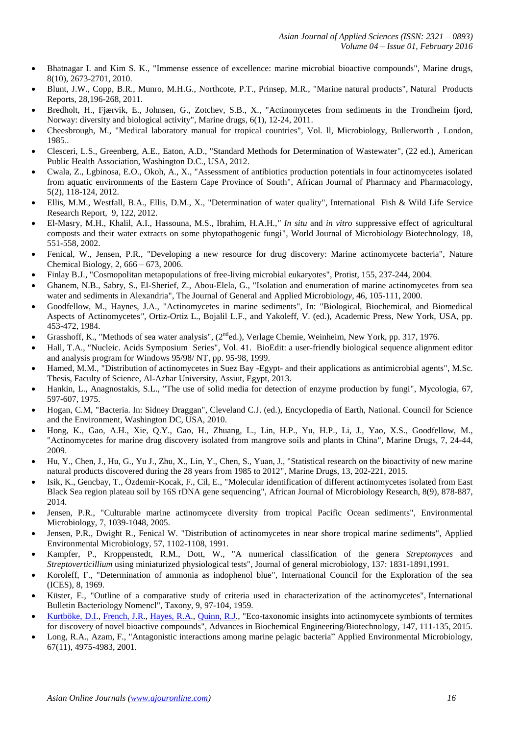- Bhatnagar I. and Kim S. K., "Immense essence of excellence: marine microbial bioactive compounds", Marine drugs, 8(10), 2673-2701, 2010.
- Blunt, J.W., Copp, B.R., Munro, M.H.G., Northcote, P.T., Prinsep, M.R., "Marine natural products", Natural Products Reports, 28,196-268, 2011.
- Bredholt, H., Fjærvik, E., Johnsen, G., Zotchev, S.B., X., "Actinomycetes from sediments in the Trondheim fjord, Norway: diversity and biological activity", Marine drugs, 6(1), 12-24, 2011.
- Cheesbrough, M., "Medical laboratory manual for tropical countries", Vol. ll, Microbiology, Bullerworth , London, 1985..
- Clesceri, L.S., Greenberg, A.E., Eaton, A.D., "Standard Methods for Determination of Wastewater", (22 ed.), American Public Health Association, Washington D.C., USA, 2012.
- Cwala, Z., Lgbinosa, E.O., Okoh, A., X., "Assessment of antibiotics production potentials in four actinomycetes isolated from aquatic environments of the Eastern Cape Province of South", African Journal of Pharmacy and Pharmacology*,* 5(2), 118-124, 2012.
- Ellis, M.M., Westfall, B.A., Ellis, D.M., X., "Determination of water quality", International Fish & Wild Life Service Research Report, 9, 122, 2012.
- El-Masry, M.H., Khalil, A.I., Hassouna, M.S., Ibrahim, H.A.H.,*" In situ* and *in vitro* suppressive effect of agricultural composts and their water extracts on some phytopathogenic fungi", World Journal of Microbiol*ogy* Biotechnology*,* 18, 551-558, 2002.
- Fenical, W., Jensen, P.R., "Developing a new resource for drug discovery: Marine actinomycete bacteria", Nature Chemical Biology, 2, 666 – 673, 2006.
- Finlay B.J., "Cosmopolitan metapopulations of free-living microbial eukaryotes", Protist, 155, 237-244, 2004.
- Ghanem, N.B., Sabry, S., El-Sherief, Z., Abou-Elela, G., "Isolation and enumeration of marine actinomycetes from sea water and sediments in Alexandria", The Journal of General and Applied Microbiol*ogy*, 46, 105-111, 2000.
- Goodfellow, M., Haynes, J.A., "Actinomycetes in marine sediments", In: "Biological, Biochemical, and Biomedical Aspects of Actinomycetes*"*, Ortiz-Ortiz L., Bojalil L.F., and Yakoleff, V. (ed.), Academic Press, New York, USA, pp. 453-472, 1984.
- Grasshoff, K., "Methods of sea water analysis", (2<sup>nd</sup>ed.), Verlage Chemie, Weinheim, New York, pp. 317, 1976.
- Hall, T.A., "Nucleic. Acids Symposium Series", Vol. 41. BioEdit: a user-friendly biological sequence alignment editor and analysis program for Windows 95/98/ NT, pp. 95-98, 1999.
- Hamed, M.M., "Distribution of actinomycetes in Suez Bay -Egypt- and their applications as antimicrobial agents", M.Sc. Thesis, Faculty of Science, Al-Azhar University, Assiut, Egypt, 2013.
- Hankin, L., Anagnostakis, S.L., "The use of solid media for detection of enzyme production by fungi", Mycologia, 67, 597-607, 1975.
- Hogan, C.M, "Bacteria. In: Sidney Draggan", Cleveland C.J. (ed.), Encyclopedia of Earth, National. Council for Science and the Environment, Washington DC, USA, 2010.
- Hong, K., Gao, A.H., Xie, Q.Y., Gao, H., Zhuang, L., Lin, H.P., Yu, H.P., Li, J., Yao, X.S., Goodfellow, M., "Actinomycetes for marine drug discovery isolated from mangrove soils and plants in China", Marine Drugs, 7, 24-44, 2009.
- Hu, Y., Chen, J., Hu, G., Yu J., Zhu, X., Lin, Y., Chen, S., Yuan, J., "Statistical research on the bioactivity of new marine natural products discovered during the 28 years from 1985 to 2012", Marine Drugs, 13, 202-221, 2015.
- Isik, K., Gencbay, T., Özdemir-Kocak, F., Cil, E., "Molecular identification of different actinomycetes isolated from East Black Sea region plateau soil by 16S rDNA gene sequencing", African Journal of Microbiology Research, 8(9), 878-887, 2014.
- Jensen, P.R., "Culturable marine actinomycete diversity from tropical Pacific Ocean sediments", Environmental Microbiology, 7, 1039-1048, 2005.
- Jensen, P.R., Dwight R., Fenical W. "Distribution of actinomycetes in near shore tropical marine sediments", Applied Environmental Microbiology, 57, 1102-1108, 1991.
- Kampfer, P., Kroppenstedt, R.M., Dott, W., "A numerical classification of the genera *Streptomyces* and *Streptoverticillium* using miniaturized physiological tests", Journal of general microbiology, 137: 1831-1891,1991.
- Koroleff, F., "Determination of ammonia as indophenol blue", International Council for the Exploration of the sea (ICES), 8, 1969.
- Küster, E., "Outline of a comparative study of criteria used in characterization of the actinomycetes", International Bulletin Bacteriology Nomencl"*,* Taxony, 9, 97-104, 1959.
- [Kurtböke,](http://www.ncbi.nlm.nih.gov/pubmed/?term=Kurtb%C3%B6ke%20DI%5BAuthor%5D&cauthor=true&cauthor_uid=24817085) D.I., [French,](http://www.ncbi.nlm.nih.gov/pubmed/?term=French%20JR%5BAuthor%5D&cauthor=true&cauthor_uid=24817085) J.R., [Hayes,](http://www.ncbi.nlm.nih.gov/pubmed/?term=Hayes%20RA%5BAuthor%5D&cauthor=true&cauthor_uid=24817085) R.A., [Quinn,](http://www.ncbi.nlm.nih.gov/pubmed/?term=Quinn%20RJ%5BAuthor%5D&cauthor=true&cauthor_uid=24817085) R.J., "Eco-taxonomic insights into actinomycete symbionts of termites for discovery of novel bioactive compounds", Advances in Biochemical Engineering*/*Biotechnology, 147, 111-135, 2015.
- Long, R.A., Azam, F., "Antagonistic interactions among marine pelagic bacteria" Applied Environmental Microbiology, 67(11), 4975-4983, 2001.